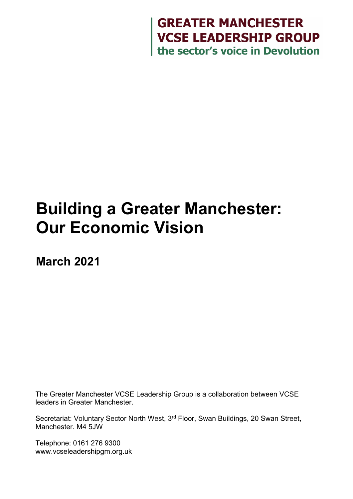

# **Building a Greater Manchester: Our Economic Vision**

**March 2021**

The Greater Manchester VCSE Leadership Group is a collaboration between VCSE leaders in Greater Manchester.

Secretariat: Voluntary Sector North West, 3rd Floor, Swan Buildings, 20 Swan Street, Manchester. M4 5JW

Telephone: 0161 276 9300 www.vcseleadershipgm.org.uk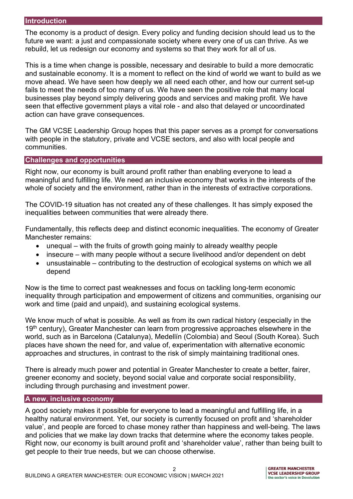#### **Introduction**

The economy is a product of design. Every policy and funding decision should lead us to the future we want: a just and compassionate society where every one of us can thrive. As we rebuild, let us redesign our economy and systems so that they work for all of us.

This is a time when change is possible, necessary and desirable to build a more democratic and sustainable economy. It is a moment to reflect on the kind of world we want to build as we move ahead. We have seen how deeply we all need each other, and how our current set-up fails to meet the needs of too many of us. We have seen the positive role that many local businesses play beyond simply delivering goods and services and making profit. We have seen that effective government plays a vital role - and also that delayed or uncoordinated action can have grave consequences.

The GM VCSE Leadership Group hopes that this paper serves as a prompt for conversations with people in the statutory, private and VCSE sectors, and also with local people and communities.

#### **Challenges and opportunities**

Right now, our economy is built around profit rather than enabling everyone to lead a meaningful and fulfilling life. We need an inclusive economy that works in the interests of the whole of society and the environment, rather than in the interests of extractive corporations.

The COVID-19 situation has not created any of these challenges. It has simply exposed the inequalities between communities that were already there.

Fundamentally, this reflects deep and distinct economic inequalities. The economy of Greater Manchester remains:

- unequal with the fruits of growth going mainly to already wealthy people
- insecure with many people without a secure livelihood and/or dependent on debt
- unsustainable contributing to the destruction of ecological systems on which we all depend

Now is the time to correct past weaknesses and focus on tackling long-term economic inequality through participation and empowerment of citizens and communities, organising our work and time (paid and unpaid), and sustaining ecological systems.

We know much of what is possible. As well as from its own radical history (especially in the 19<sup>th</sup> century), Greater Manchester can learn from progressive approaches elsewhere in the world, such as in Barcelona (Catalunya), Medellín (Colombia) and Seoul (South Korea). Such places have shown the need for, and value of, experimentation with alternative economic approaches and structures, in contrast to the risk of simply maintaining traditional ones.

There is already much power and potential in Greater Manchester to create a better, fairer, greener economy and society, beyond social value and corporate social responsibility, including through purchasing and investment power.

#### **A new, inclusive economy**

A good society makes it possible for everyone to lead a meaningful and fulfilling life, in a healthy natural environment. Yet, our society is currently focused on profit and 'shareholder value', and people are forced to chase money rather than happiness and well-being. The laws and policies that we make lay down tracks that determine where the economy takes people. Right now, our economy is built around profit and 'shareholder value', rather than being built to get people to their true needs, but we can choose otherwise.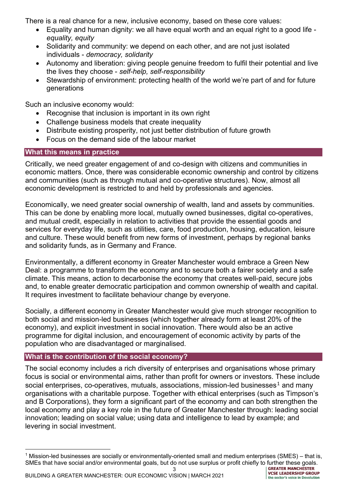There is a real chance for a new, inclusive economy, based on these core values:

- Equality and human dignity: we all have equal worth and an equal right to a good life *equality, equity*
- Solidarity and community: we depend on each other, and are not just isolated individuals - *democracy, solidarity*
- Autonomy and liberation: giving people genuine freedom to fulfil their potential and live the lives they choose - *self-help, self-responsibility*
- Stewardship of environment: protecting health of the world we're part of and for future generations

Such an inclusive economy would:

- Recognise that inclusion is important in its own right
- Challenge business models that create inequality
- Distribute existing prosperity, not just better distribution of future growth
- Focus on the demand side of the labour market

## **What this means in practice**

Critically, we need greater engagement of and co-design with citizens and communities in economic matters. Once, there was considerable economic ownership and control by citizens and communities (such as through mutual and co-operative structures). Now, almost all economic development is restricted to and held by professionals and agencies.

Economically, we need greater social ownership of wealth, land and assets by communities. This can be done by enabling more local, mutually owned businesses, digital co-operatives, and mutual credit, especially in relation to activities that provide the essential goods and services for everyday life, such as utilities, care, food production, housing, education, leisure and culture. These would benefit from new forms of investment, perhaps by regional banks and solidarity funds, as in Germany and France.

Environmentally, a different economy in Greater Manchester would embrace a Green New Deal: a programme to transform the economy and to secure both a fairer society and a safe climate. This means, action to decarbonise the economy that creates well-paid, secure jobs and, to enable greater democratic participation and common ownership of wealth and capital. It requires investment to facilitate behaviour change by everyone.

Socially, a different economy in Greater Manchester would give much stronger recognition to both social and mission-led businesses (which together already form at least 20% of the economy), and explicit investment in social innovation. There would also be an active programme for digital inclusion, and encouragement of economic activity by parts of the population who are disadvantaged or marginalised.

## **What is the contribution of the social economy?**

The social economy includes a rich diversity of enterprises and organisations whose primary focus is social or environmental aims, rather than profit for owners or investors. These include social enterprises, co-operatives, mutuals, associations, mission-led businesses<sup>[1](#page-2-0)</sup> and many organisations with a charitable purpose. Together with ethical enterprises (such as Timpson's and B Corporations), they form a significant part of the economy and can both strengthen the local economy and play a key role in the future of Greater Manchester through: leading social innovation; leading on social value; using data and intelligence to lead by example; and levering in social investment.

<span id="page-2-0"></span><sup>&</sup>lt;sup>1</sup> Mission-led businesses are socially or environmentally-oriented small and medium enterprises (SMES) – that is, SMEs that have social and/or environmental goals, but do not use surplus or profit chiefly to further these goals.